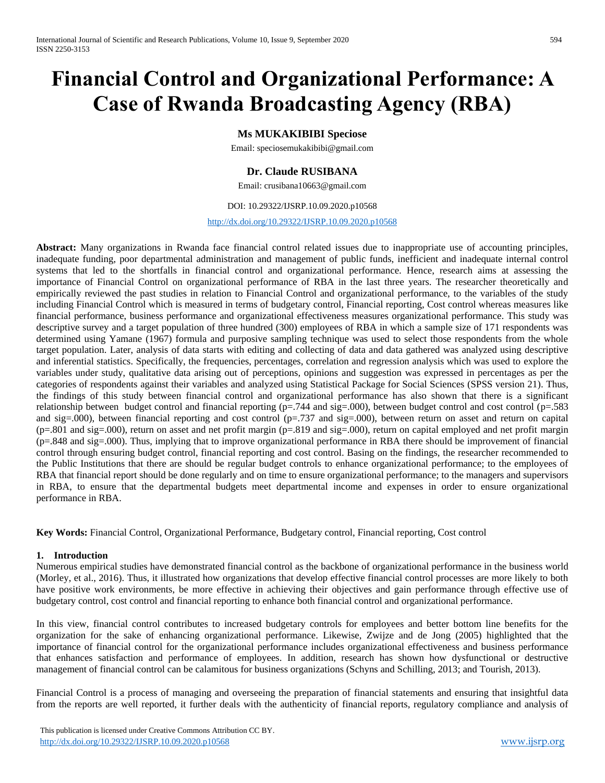# **Financial Control and Organizational Performance: A Case of Rwanda Broadcasting Agency (RBA)**

## **Ms MUKAKIBIBI Speciose**

Email: [speciosemukakibibi@gmail.com](mailto:speciosemukakibibi@gmail.com)

## **Dr. Claude RUSIBANA**

Email: crusibana10663@gmail.com

#### DOI: 10.29322/IJSRP.10.09.2020.p10568

<http://dx.doi.org/10.29322/IJSRP.10.09.2020.p10568>

**Abstract:** Many organizations in Rwanda face financial control related issues due to inappropriate use of accounting principles, inadequate funding, poor departmental administration and management of public funds, inefficient and inadequate internal control systems that led to the shortfalls in financial control and organizational performance. Hence, research aims at assessing the importance of Financial Control on organizational performance of RBA in the last three years. The researcher theoretically and empirically reviewed the past studies in relation to Financial Control and organizational performance, to the variables of the study including Financial Control which is measured in terms of budgetary control, Financial reporting, Cost control whereas measures like financial performance, business performance and organizational effectiveness measures organizational performance. This study was descriptive survey and a target population of three hundred (300) employees of RBA in which a sample size of 171 respondents was determined using Yamane (1967) formula and purposive sampling technique was used to select those respondents from the whole target population. Later, analysis of data starts with editing and collecting of data and data gathered was analyzed using descriptive and inferential statistics. Specifically, the frequencies, percentages, correlation and regression analysis which was used to explore the variables under study, qualitative data arising out of perceptions, opinions and suggestion was expressed in percentages as per the categories of respondents against their variables and analyzed using Statistical Package for Social Sciences (SPSS version 21). Thus, the findings of this study between financial control and organizational performance has also shown that there is a significant relationship between budget control and financial reporting  $(p=.744$  and sig=.000), between budget control and cost control  $(p=.583$ and sig=.000), between financial reporting and cost control ( $p=.737$  and sig=.000), between return on asset and return on capital (p=.801 and sig=.000), return on asset and net profit margin (p=.819 and sig=.000), return on capital employed and net profit margin (p=.848 and sig=.000). Thus, implying that to improve organizational performance in RBA there should be improvement of financial control through ensuring budget control, financial reporting and cost control. Basing on the findings, the researcher recommended to the Public Institutions that there are should be regular budget controls to enhance organizational performance; to the employees of RBA that financial report should be done regularly and on time to ensure organizational performance; to the managers and supervisors in RBA, to ensure that the departmental budgets meet departmental income and expenses in order to ensure organizational performance in RBA.

**Key Words:** Financial Control, Organizational Performance, Budgetary control, Financial reporting, Cost control

#### **1. Introduction**

Numerous empirical studies have demonstrated financial control as the backbone of organizational performance in the business world (Morley, et al., 2016). Thus, it illustrated how organizations that develop effective financial control processes are more likely to both have positive work environments, be more effective in achieving their objectives and gain performance through effective use of budgetary control, cost control and financial reporting to enhance both financial control and organizational performance.

In this view, financial control contributes to increased budgetary controls for employees and better bottom line benefits for the organization for the sake of enhancing organizational performance. Likewise, Zwijze and de Jong (2005) highlighted that the importance of financial control for the organizational performance includes organizational effectiveness and business performance that enhances satisfaction and performance of employees. In addition, research has shown how dysfunctional or destructive management of financial control can be calamitous for business organizations (Schyns and Schilling, 2013; and Tourish, 2013).

Financial Control is a process of managing and overseeing the preparation of financial statements and ensuring that insightful data from the reports are well reported, it further deals with the authenticity of financial reports, regulatory compliance and analysis of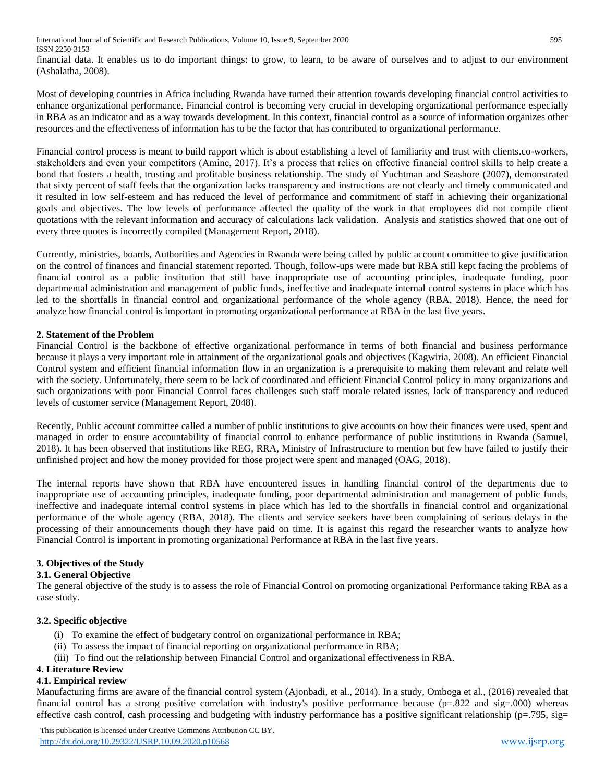financial data. It enables us to do important things: to grow, to learn, to be aware of ourselves and to adjust to our environment (Ashalatha, 2008).

Most of developing countries in Africa including Rwanda have turned their attention towards developing financial control activities to enhance organizational performance. Financial control is becoming very crucial in developing organizational performance especially in RBA as an indicator and as a way towards development. In this context, financial control as a source of information organizes other resources and the effectiveness of information has to be the factor that has contributed to organizational performance.

Financial control process is meant to build rapport which is about establishing a level of familiarity and trust with clients.co-workers, stakeholders and even your competitors (Amine, 2017). It's a process that relies on effective financial control skills to help create a bond that fosters a health, trusting and profitable business relationship. The study of Yuchtman and Seashore (2007), demonstrated that sixty percent of staff feels that the organization lacks transparency and instructions are not clearly and timely communicated and it resulted in low self-esteem and has reduced the level of performance and commitment of staff in achieving their organizational goals and objectives. The low levels of performance affected the quality of the work in that employees did not compile client quotations with the relevant information and accuracy of calculations lack validation. Analysis and statistics showed that one out of every three quotes is incorrectly compiled (Management Report, 2018).

Currently, ministries, boards, Authorities and Agencies in Rwanda were being called by public account committee to give justification on the control of finances and financial statement reported. Though, follow-ups were made but RBA still kept facing the problems of financial control as a public institution that still have inappropriate use of accounting principles, inadequate funding, poor departmental administration and management of public funds, ineffective and inadequate internal control systems in place which has led to the shortfalls in financial control and organizational performance of the whole agency (RBA, 2018). Hence, the need for analyze how financial control is important in promoting organizational performance at RBA in the last five years.

## **2. Statement of the Problem**

Financial Control is the backbone of effective organizational performance in terms of both financial and business performance because it plays a very important role in attainment of the organizational goals and objectives (Kagwiria, 2008). An efficient Financial Control system and efficient financial information flow in an organization is a prerequisite to making them relevant and relate well with the society. Unfortunately, there seem to be lack of coordinated and efficient Financial Control policy in many organizations and such organizations with poor Financial Control faces challenges such staff morale related issues, lack of transparency and reduced levels of customer service (Management Report, 2048).

Recently, Public account committee called a number of public institutions to give accounts on how their finances were used, spent and managed in order to ensure accountability of financial control to enhance performance of public institutions in Rwanda (Samuel, 2018). It has been observed that institutions like REG, RRA, Ministry of Infrastructure to mention but few have failed to justify their unfinished project and how the money provided for those project were spent and managed (OAG, 2018).

The internal reports have shown that RBA have encountered issues in handling financial control of the departments due to inappropriate use of accounting principles, inadequate funding, poor departmental administration and management of public funds, ineffective and inadequate internal control systems in place which has led to the shortfalls in financial control and organizational performance of the whole agency (RBA, 2018). The clients and service seekers have been complaining of serious delays in the processing of their announcements though they have paid on time. It is against this regard the researcher wants to analyze how Financial Control is important in promoting organizational Performance at RBA in the last five years.

## **3. Objectives of the Study**

## **3.1. General Objective**

The general objective of the study is to assess the role of Financial Control on promoting organizational Performance taking RBA as a case study.

## **3.2. Specific objective**

- (i) To examine the effect of budgetary control on organizational performance in RBA;
- (ii) To assess the impact of financial reporting on organizational performance in RBA;
- (iii) To find out the relationship between Financial Control and organizational effectiveness in RBA.

## **4. Literature Review**

## **4.1. Empirical review**

Manufacturing firms are aware of the financial control system (Ajonbadi, et al., 2014). In a study, Omboga et al., (2016) revealed that financial control has a strong positive correlation with industry's positive performance because ( $p=.822$  and sig $=.000$ ) whereas effective cash control, cash processing and budgeting with industry performance has a positive significant relationship ( $p=0.795$ ,  $sig=$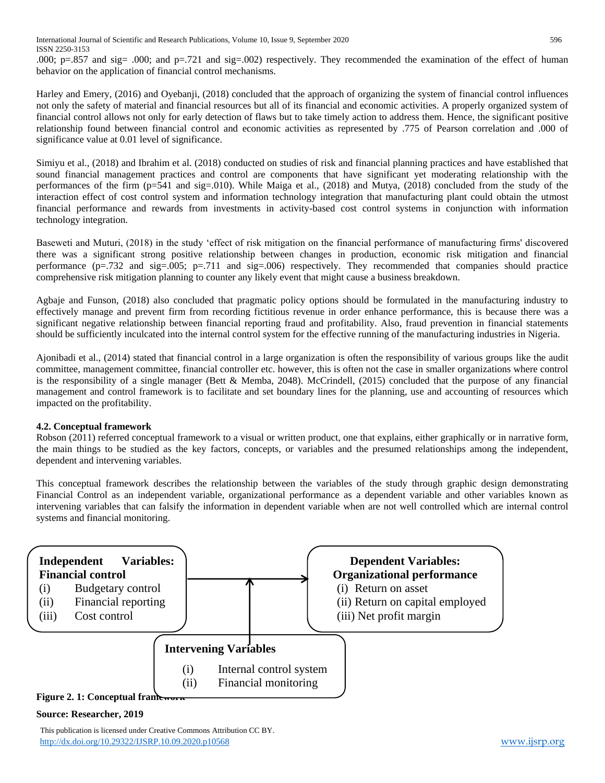.000; p=.857 and sig= .000; and p=.721 and sig=.002) respectively. They recommended the examination of the effect of human behavior on the application of financial control mechanisms.

Harley and Emery, (2016) and Oyebanji, (2018) concluded that the approach of organizing the system of financial control influences not only the safety of material and financial resources but all of its financial and economic activities. A properly organized system of financial control allows not only for early detection of flaws but to take timely action to address them. Hence, the significant positive relationship found between financial control and economic activities as represented by .775 of Pearson correlation and .000 of significance value at 0.01 level of significance.

Simiyu et al., (2018) and Ibrahim et al. (2018) conducted on studies of risk and financial planning practices and have established that sound financial management practices and control are components that have significant yet moderating relationship with the performances of the firm (p=541 and sig=.010). While Maiga et al., (2018) and Mutya, (2018) concluded from the study of the interaction effect of cost control system and information technology integration that manufacturing plant could obtain the utmost financial performance and rewards from investments in activity-based cost control systems in conjunction with information technology integration.

Baseweti and Muturi, (2018) in the study 'effect of risk mitigation on the financial performance of manufacturing firms' discovered there was a significant strong positive relationship between changes in production, economic risk mitigation and financial performance  $(p=.732$  and sig=.005;  $p=.711$  and sig=.006) respectively. They recommended that companies should practice comprehensive risk mitigation planning to counter any likely event that might cause a business breakdown.

Agbaje and Funson, (2018) also concluded that pragmatic policy options should be formulated in the manufacturing industry to effectively manage and prevent firm from recording fictitious revenue in order enhance performance, this is because there was a significant negative relationship between financial reporting fraud and profitability. Also, fraud prevention in financial statements should be sufficiently inculcated into the internal control system for the effective running of the manufacturing industries in Nigeria.

Ajonibadi et al., (2014) stated that financial control in a large organization is often the responsibility of various groups like the audit committee, management committee, financial controller etc. however, this is often not the case in smaller organizations where control is the responsibility of a single manager (Bett & Memba, 2048). McCrindell, (2015) concluded that the purpose of any financial management and control framework is to facilitate and set boundary lines for the planning, use and accounting of resources which impacted on the profitability.

## **4.2. Conceptual framework**

Robson (2011) referred conceptual framework to a visual or written product, one that explains, either graphically or in narrative form, the main things to be studied as the key factors, concepts, or variables and the presumed relationships among the independent, dependent and intervening variables.

This conceptual framework describes the relationship between the variables of the study through graphic design demonstrating Financial Control as an independent variable, organizational performance as a dependent variable and other variables known as intervening variables that can falsify the information in dependent variable when are not well controlled which are internal control systems and financial monitoring.



## **Source: Researcher, 2019**

 This publication is licensed under Creative Commons Attribution CC BY. <http://dx.doi.org/10.29322/IJSRP.10.09.2020.p10568> [www.ijsrp.org](http://ijsrp.org/)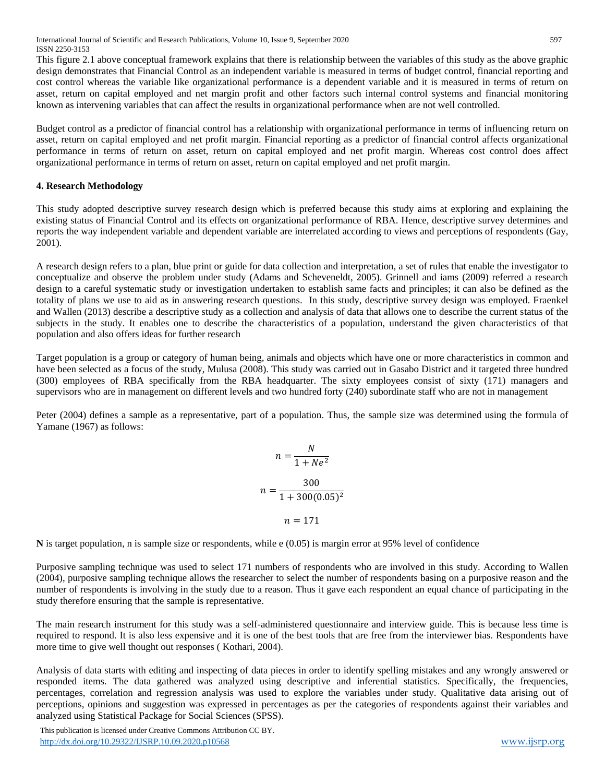International Journal of Scientific and Research Publications, Volume 10, Issue 9, September 2020 597 ISSN 2250-3153

This figure 2.1 above conceptual framework explains that there is relationship between the variables of this study as the above graphic design demonstrates that Financial Control as an independent variable is measured in terms of budget control, financial reporting and cost control whereas the variable like organizational performance is a dependent variable and it is measured in terms of return on asset, return on capital employed and net margin profit and other factors such internal control systems and financial monitoring known as intervening variables that can affect the results in organizational performance when are not well controlled.

Budget control as a predictor of financial control has a relationship with organizational performance in terms of influencing return on asset, return on capital employed and net profit margin. Financial reporting as a predictor of financial control affects organizational performance in terms of return on asset, return on capital employed and net profit margin. Whereas cost control does affect organizational performance in terms of return on asset, return on capital employed and net profit margin.

#### **4. Research Methodology**

This study adopted descriptive survey research design which is preferred because this study aims at exploring and explaining the existing status of Financial Control and its effects on organizational performance of RBA. Hence, descriptive survey determines and reports the way independent variable and dependent variable are interrelated according to views and perceptions of respondents (Gay, 2001).

A research design refers to a plan, blue print or guide for data collection and interpretation, a set of rules that enable the investigator to conceptualize and observe the problem under study (Adams and Scheveneldt, 2005). Grinnell and iams (2009) referred a research design to a careful systematic study or investigation undertaken to establish same facts and principles; it can also be defined as the totality of plans we use to aid as in answering research questions. In this study, descriptive survey design was employed. Fraenkel and Wallen (2013) describe a descriptive study as a collection and analysis of data that allows one to describe the current status of the subjects in the study. It enables one to describe the characteristics of a population, understand the given characteristics of that population and also offers ideas for further research

Target population is a group or category of human being, animals and objects which have one or more characteristics in common and have been selected as a focus of the study, Mulusa (2008). This study was carried out in Gasabo District and it targeted three hundred (300) employees of RBA specifically from the RBA headquarter. The sixty employees consist of sixty (171) managers and supervisors who are in management on different levels and two hundred forty (240) subordinate staff who are not in management

Peter (2004) defines a sample as a representative, part of a population. Thus, the sample size was determined using the formula of Yamane (1967) as follows:

$$
n = \frac{N}{1 + Ne^{2}}
$$

$$
n = \frac{300}{1 + 300(0.05)^{2}}
$$

$$
n = 171
$$

**N** is target population, n is sample size or respondents, while e (0.05) is margin error at 95% level of confidence

Purposive sampling technique was used to select 171 numbers of respondents who are involved in this study. According to Wallen (2004), purposive sampling technique allows the researcher to select the number of respondents basing on a purposive reason and the number of respondents is involving in the study due to a reason. Thus it gave each respondent an equal chance of participating in the study therefore ensuring that the sample is representative.

The main research instrument for this study was a self-administered questionnaire and interview guide. This is because less time is required to respond. It is also less expensive and it is one of the best tools that are free from the interviewer bias. Respondents have more time to give well thought out responses ( Kothari, 2004).

Analysis of data starts with editing and inspecting of data pieces in order to identify spelling mistakes and any wrongly answered or responded items. The data gathered was analyzed using descriptive and inferential statistics. Specifically, the frequencies, percentages, correlation and regression analysis was used to explore the variables under study. Qualitative data arising out of perceptions, opinions and suggestion was expressed in percentages as per the categories of respondents against their variables and analyzed using Statistical Package for Social Sciences (SPSS).

 This publication is licensed under Creative Commons Attribution CC BY. <http://dx.doi.org/10.29322/IJSRP.10.09.2020.p10568> [www.ijsrp.org](http://ijsrp.org/)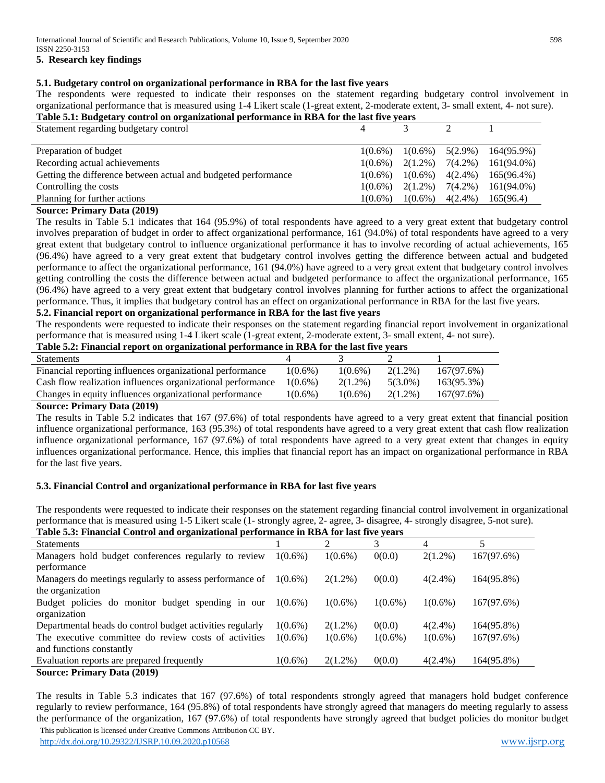#### **5. Research key findings**

#### **5.1. Budgetary control on organizational performance in RBA for the last five years**

The respondents were requested to indicate their responses on the statement regarding budgetary control involvement in organizational performance that is measured using 1-4 Likert scale (1-great extent, 2-moderate extent, 3- small extent, 4- not sure). **Table 5.1: Budgetary control on organizational performance in RBA for the last five years** 

## Statement regarding budgetary control  $\begin{array}{cccc} 4 & 3 & 2 & 1 \end{array}$ Preparation of budget 1(0.6%) 1(0.6%) 1(0.6%) 5(2.9%) 164(95.9%) Recording actual achievements  $1(0.6\%) \quad 2(1.2\%) \quad 7(4.2\%) \quad 161(94.0\%)$ Getting the difference between actual and budgeted performance  $1(0.6\%) \quad 1(0.6\%) \quad 4(2.4\%) \quad 165(96.4\%)$ Controlling the costs  $1(0.6\%)$   $2(1.2\%)$   $7(4.2\%)$   $161(94.0\%)$ Planning for further actions 1(0.6%) 1(0.6%) 1(0.6%) 4(2.4%) 165(96.4)

#### **Source: Primary Data (2019)**

The results in Table 5.1 indicates that 164 (95.9%) of total respondents have agreed to a very great extent that budgetary control involves preparation of budget in order to affect organizational performance, 161 (94.0%) of total respondents have agreed to a very great extent that budgetary control to influence organizational performance it has to involve recording of actual achievements, 165 (96.4%) have agreed to a very great extent that budgetary control involves getting the difference between actual and budgeted performance to affect the organizational performance, 161 (94.0%) have agreed to a very great extent that budgetary control involves getting controlling the costs the difference between actual and budgeted performance to affect the organizational performance, 165 (96.4%) have agreed to a very great extent that budgetary control involves planning for further actions to affect the organizational performance. Thus, it implies that budgetary control has an effect on organizational performance in RBA for the last five years.

#### **5.2. Financial report on organizational performance in RBA for the last five years**

The respondents were requested to indicate their responses on the statement regarding financial report involvement in organizational performance that is measured using 1-4 Likert scale (1-great extent, 2-moderate extent, 3- small extent, 4- not sure).

## **Table 5.2: Financial report on organizational performance in RBA for the last five years**

| <b>Statements</b>                                           |            |            |            |            |
|-------------------------------------------------------------|------------|------------|------------|------------|
| Financial reporting influences organizational performance   | $1(0.6\%)$ | $1(0.6\%)$ | $2(1.2\%)$ | 167(97.6%) |
| Cash flow realization influences organizational performance | $1(0.6\%)$ | $2(1.2\%)$ | $5(3.0\%)$ | 163(95.3%) |
| Changes in equity influences organizational performance     | $1(0.6\%)$ | $1(0.6\%)$ | $2(1.2\%)$ | 167(97.6%) |
| ______                                                      |            |            |            |            |

#### **Source: Primary Data (2019)**

The results in Table 5.2 indicates that 167 (97.6%) of total respondents have agreed to a very great extent that financial position influence organizational performance, 163 (95.3%) of total respondents have agreed to a very great extent that cash flow realization influence organizational performance, 167 (97.6%) of total respondents have agreed to a very great extent that changes in equity influences organizational performance. Hence, this implies that financial report has an impact on organizational performance in RBA for the last five years.

#### **5.3. Financial Control and organizational performance in RBA for last five years**

The respondents were requested to indicate their responses on the statement regarding financial control involvement in organizational performance that is measured using 1-5 Likert scale (1- strongly agree, 2- agree, 3- disagree, 4- strongly disagree, 5-not sure). **Table 5.3: Financial Control and organizational performance in RBA for last five years**

| Table 5.5. Financial Control and organizational performance in KD/I for fast five years |            |            |            |            |            |  |
|-----------------------------------------------------------------------------------------|------------|------------|------------|------------|------------|--|
| <b>Statements</b>                                                                       |            | ◠          | 3          | 4          |            |  |
| Managers hold budget conferences regularly to review                                    | $1(0.6\%)$ | $1(0.6\%)$ | 0(0.0)     | $2(1.2\%)$ | 167(97.6%) |  |
| performance                                                                             |            |            |            |            |            |  |
| Managers do meetings regularly to assess performance of                                 | $1(0.6\%)$ | $2(1.2\%)$ | 0(0.0)     | $4(2.4\%)$ | 164(95.8%) |  |
| the organization                                                                        |            |            |            |            |            |  |
| Budget policies do monitor budget spending in our                                       | $1(0.6\%)$ | $1(0.6\%)$ | $1(0.6\%)$ | $1(0.6\%)$ | 167(97.6%) |  |
| organization                                                                            |            |            |            |            |            |  |
| Departmental heads do control budget activities regularly                               | $1(0.6\%)$ | $2(1.2\%)$ | 0(0.0)     | $4(2.4\%)$ | 164(95.8%) |  |
| The executive committee do review costs of activities                                   | $1(0.6\%)$ | $1(0.6\%)$ | $1(0.6\%)$ | $1(0.6\%)$ | 167(97.6%) |  |
| and functions constantly                                                                |            |            |            |            |            |  |
| Evaluation reports are prepared frequently                                              | $1(0.6\%)$ | $2(1.2\%)$ | 0(0.0)     | $4(2.4\%)$ | 164(95.8%) |  |
| <b>Source: Primary Data (2019)</b>                                                      |            |            |            |            |            |  |

 This publication is licensed under Creative Commons Attribution CC BY. The results in Table 5.3 indicates that 167 (97.6%) of total respondents strongly agreed that managers hold budget conference regularly to review performance, 164 (95.8%) of total respondents have strongly agreed that managers do meeting regularly to assess the performance of the organization, 167 (97.6%) of total respondents have strongly agreed that budget policies do monitor budget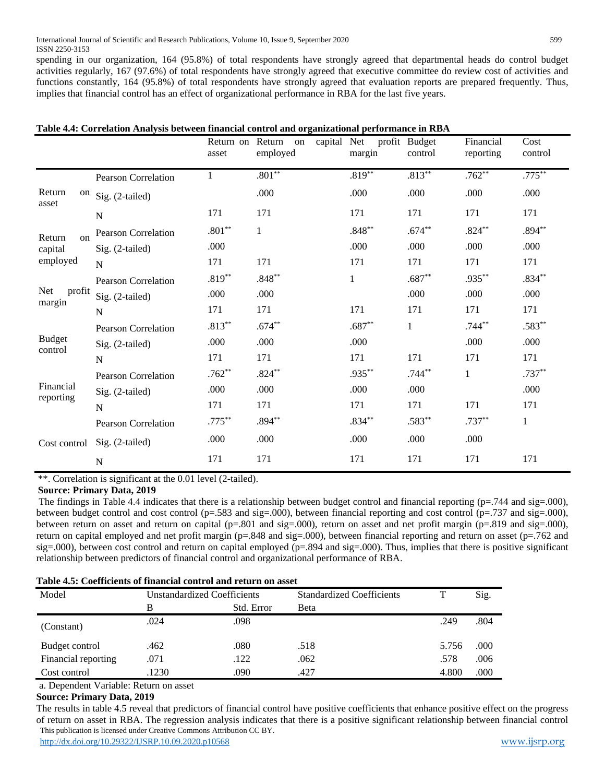spending in our organization, 164 (95.8%) of total respondents have strongly agreed that departmental heads do control budget activities regularly, 167 (97.6%) of total respondents have strongly agreed that executive committee do review cost of activities and functions constantly, 164 (95.8%) of total respondents have strongly agreed that evaluation reports are prepared frequently. Thus, implies that financial control has an effect of organizational performance in RBA for the last five years.

|                        | Table 4.4: Correlation Analysis between financial control and organizational performance in RBA |                   |                                                |              |                          |                        |                 |
|------------------------|-------------------------------------------------------------------------------------------------|-------------------|------------------------------------------------|--------------|--------------------------|------------------------|-----------------|
|                        |                                                                                                 | asset             | capital Net<br>Return on Return on<br>employed | margin       | profit Budget<br>control | Financial<br>reporting | Cost<br>control |
|                        | Pearson Correlation                                                                             | $\mathbf{1}$      | $.801***$                                      | $.819***$    | $.813***$                | $.762**$               | $.775***$       |
| Return<br>asset        | <sup>on</sup> Sig. (2-tailed)                                                                   |                   | .000                                           | .000         | .000                     | .000                   | .000            |
|                        | $\mathbf N$                                                                                     | 171               | 171                                            | 171          | 171                      | 171                    | 171             |
| Return<br>$\alpha$     | <b>Pearson Correlation</b>                                                                      | $.801^{\ast\ast}$ | 1                                              | $.848**$     | $.674**$                 | $.824**$               | $.894**$        |
| capital                | Sig. (2-tailed)                                                                                 | .000              |                                                | .000         | .000                     | .000                   | .000            |
| employed               | $\mathbf N$                                                                                     | 171               | 171                                            | 171          | 171                      | 171                    | 171             |
|                        | <b>Pearson Correlation</b>                                                                      | $.819**$          | $.848**$                                       | $\mathbf{1}$ | $.687**$                 | .935**                 | $.834**$        |
| <b>Net</b><br>profit   | Sig. (2-tailed)                                                                                 | .000              | .000                                           |              | .000                     | .000                   | .000            |
| margin<br>N            |                                                                                                 | 171               | 171                                            | 171          | 171                      | 171                    | 171             |
|                        | <b>Pearson Correlation</b>                                                                      | $.813***$         | $.674**$                                       | $.687**$     | $\mathbf{1}$             | $.744**$               | $.583**$        |
| <b>Budget</b>          | Sig. (2-tailed)                                                                                 | .000              | .000                                           | .000         |                          | .000                   | .000            |
| control                | N                                                                                               | 171               | 171                                            | 171          | 171                      | 171                    | 171             |
|                        | <b>Pearson Correlation</b>                                                                      | $.762**$          | $.824***$                                      | $.935***$    | $.744**$                 | $\mathbf{1}$           | $.737**$        |
| Financial<br>reporting | Sig. (2-tailed)                                                                                 | .000              | .000                                           | .000         | .000                     |                        | .000            |
|                        | $\mathbf N$                                                                                     | 171               | 171                                            | 171          | 171                      | 171                    | 171             |
|                        | <b>Pearson Correlation</b>                                                                      | $.775***$         | $.894***$                                      | $.834**$     | $.583**$                 | $.737**$               | $\mathbf{1}$    |
| Cost control           | Sig. (2-tailed)                                                                                 | .000              | .000                                           | .000         | .000                     | .000                   |                 |
|                        | ${\bf N}$                                                                                       | 171               | 171                                            | 171          | 171                      | 171                    | 171             |

\*\*. Correlation is significant at the 0.01 level (2-tailed).

## **Source: Primary Data, 2019**

The findings in Table 4.4 indicates that there is a relationship between budget control and financial reporting ( $p=744$  and sig=.000), between budget control and cost control ( $p=.583$  and sig=.000), between financial reporting and cost control ( $p=.737$  and sig=.000), between return on asset and return on capital ( $p=.801$  and  $sig=.000$ ), return on asset and net profit margin ( $p=.819$  and  $sig=.000$ ), return on capital employed and net profit margin (p=.848 and sig=.000), between financial reporting and return on asset (p=.762 and sig=.000), between cost control and return on capital employed (p=.894 and sig=.000). Thus, implies that there is positive significant relationship between predictors of financial control and organizational performance of RBA.

|  |  |  |  |  | Table 4.5: Coefficients of financial control and return on asset |
|--|--|--|--|--|------------------------------------------------------------------|
|--|--|--|--|--|------------------------------------------------------------------|

| Table 4.9. Cochiclents of Hilancial colletor and Feturii on asset |                                    |            |                                  |       |      |
|-------------------------------------------------------------------|------------------------------------|------------|----------------------------------|-------|------|
| Model                                                             | <b>Unstandardized Coefficients</b> |            | <b>Standardized Coefficients</b> |       | Sig. |
|                                                                   | В                                  | Std. Error | Beta                             |       |      |
| (Constant)                                                        | .024                               | .098       |                                  | .249  | .804 |
| Budget control                                                    | .462                               | .080       | .518                             | 5.756 | .000 |
| Financial reporting                                               | .071                               | .122       | .062                             | .578  | .006 |
| Cost control                                                      | .1230                              | .090       | .427                             | 4.800 | .000 |

a. Dependent Variable: Return on asset

## **Source: Primary Data, 2019**

 This publication is licensed under Creative Commons Attribution CC BY. <http://dx.doi.org/10.29322/IJSRP.10.09.2020.p10568> [www.ijsrp.org](http://ijsrp.org/) The results in table 4.5 reveal that predictors of financial control have positive coefficients that enhance positive effect on the progress of return on asset in RBA. The regression analysis indicates that there is a positive significant relationship between financial control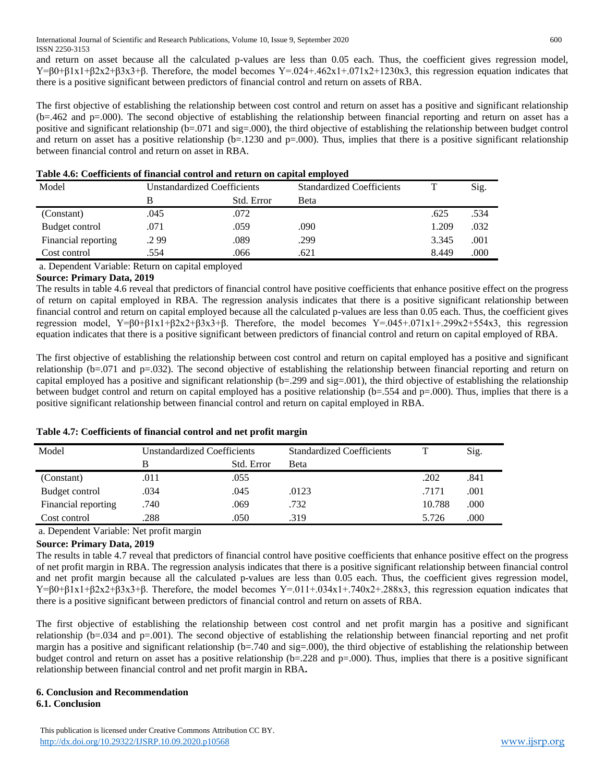and return on asset because all the calculated p-values are less than 0.05 each. Thus, the coefficient gives regression model,  $Y=\beta0+\beta1x1+\beta2x2+\beta3x3+\beta$ . Therefore, the model becomes  $Y=.024+.462x1+.071x2+1230x3$ , this regression equation indicates that there is a positive significant between predictors of financial control and return on assets of RBA.

The first objective of establishing the relationship between cost control and return on asset has a positive and significant relationship (b=.462 and p=.000). The second objective of establishing the relationship between financial reporting and return on asset has a positive and significant relationship (b=.071 and sig=.000), the third objective of establishing the relationship between budget control and return on asset has a positive relationship  $(b=.1230$  and  $p=.000$ . Thus, implies that there is a positive significant relationship between financial control and return on asset in RBA.

| Model               |      | Unstandardized Coefficients | <b>Standardized Coefficients</b> |       | Sig. |
|---------------------|------|-----------------------------|----------------------------------|-------|------|
|                     | В    | Std. Error                  | Beta                             |       |      |
| (Constant)          | .045 | .072                        |                                  | .625  | .534 |
| Budget control      | .071 | .059                        | .090                             | 1.209 | .032 |
| Financial reporting | .299 | .089                        | .299                             | 3.345 | .001 |
| Cost control        | .554 | .066                        | .621                             | 8.449 | .000 |

## **Table 4.6: Coefficients of financial control and return on capital employed**

a. Dependent Variable: Return on capital employed

## **Source: Primary Data, 2019**

The results in table 4.6 reveal that predictors of financial control have positive coefficients that enhance positive effect on the progress of return on capital employed in RBA. The regression analysis indicates that there is a positive significant relationship between financial control and return on capital employed because all the calculated p-values are less than 0.05 each. Thus, the coefficient gives regression model, Y= $\beta0+\beta1x1+\beta2x2+\beta3x3+\beta$ . Therefore, the model becomes Y=.045+.071x1+.299x2+554x3, this regression equation indicates that there is a positive significant between predictors of financial control and return on capital employed of RBA.

The first objective of establishing the relationship between cost control and return on capital employed has a positive and significant relationship ( $b=0.071$  and  $p=.032$ ). The second objective of establishing the relationship between financial reporting and return on capital employed has a positive and significant relationship ( $b=299$  and  $sig=0.01$ ), the third objective of establishing the relationship between budget control and return on capital employed has a positive relationship (b=.554 and p=.000). Thus, implies that there is a positive significant relationship between financial control and return on capital employed in RBA.

| Model               | Unstandardized Coefficients |            | <b>Standardized Coefficients</b> |        | Sig. |
|---------------------|-----------------------------|------------|----------------------------------|--------|------|
|                     |                             | Std. Error | Beta                             |        |      |
| (Constant)          | .011                        | .055       |                                  | .202   | .841 |
| Budget control      | .034                        | .045       | .0123                            | .7171  | .001 |
| Financial reporting | .740                        | .069       | .732                             | 10.788 | .000 |
| Cost control        | .288                        | .050       | .319                             | 5.726  | .000 |

## **Table 4.7: Coefficients of financial control and net profit margin**

a. Dependent Variable: Net profit margin

## **Source: Primary Data, 2019**

The results in table 4.7 reveal that predictors of financial control have positive coefficients that enhance positive effect on the progress of net profit margin in RBA. The regression analysis indicates that there is a positive significant relationship between financial control and net profit margin because all the calculated p-values are less than 0.05 each. Thus, the coefficient gives regression model,  $Y=60+61x1+62x2+63x3+6$ . Therefore, the model becomes  $Y=0.011+0.034x1+0.740x2+0.288x3$ , this regression equation indicates that there is a positive significant between predictors of financial control and return on assets of RBA.

The first objective of establishing the relationship between cost control and net profit margin has a positive and significant relationship ( $b=0.034$  and  $p=.001$ ). The second objective of establishing the relationship between financial reporting and net profit margin has a positive and significant relationship ( $b = .740$  and sig=.000), the third objective of establishing the relationship between budget control and return on asset has a positive relationship (b=.228 and p=.000). Thus, implies that there is a positive significant relationship between financial control and net profit margin in RBA**.**

## **6. Conclusion and Recommendation**

## **6.1. Conclusion**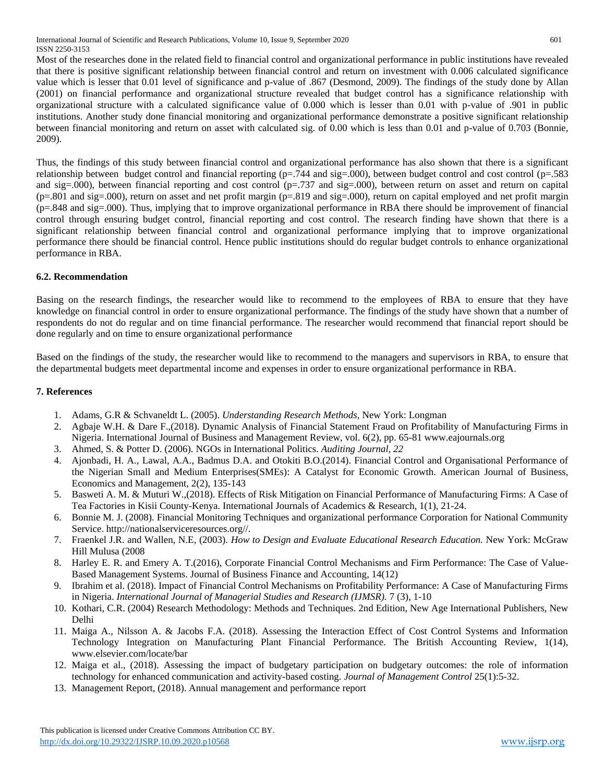International Journal of Scientific and Research Publications, Volume 10, Issue 9, September 2020 601 ISSN 2250-3153

Most of the researches done in the related field to financial control and organizational performance in public institutions have revealed that there is positive significant relationship between financial control and return on investment with 0.006 calculated significance value which is lesser that 0.01 level of significance and p-value of .867 (Desmond, 2009). The findings of the study done by Allan (2001) on financial performance and organizational structure revealed that budget control has a significance relationship with organizational structure with a calculated significance value of 0.000 which is lesser than 0.01 with p-value of .901 in public institutions. Another study done financial monitoring and organizational performance demonstrate a positive significant relationship between financial monitoring and return on asset with calculated sig. of 0.00 which is less than 0.01 and p-value of 0.703 (Bonnie, 2009).

Thus, the findings of this study between financial control and organizational performance has also shown that there is a significant relationship between budget control and financial reporting (p=.744 and sig=.000), between budget control and cost control (p=.583 and sig=.000), between financial reporting and cost control ( $p=.737$  and sig=.000), between return on asset and return on capital  $(p=.801$  and sig=.000), return on asset and net profit margin  $(p=.819$  and sig=.000), return on capital employed and net profit margin (p=.848 and sig=.000). Thus, implying that to improve organizational performance in RBA there should be improvement of financial control through ensuring budget control, financial reporting and cost control. The research finding have shown that there is a significant relationship between financial control and organizational performance implying that to improve organizational performance there should be financial control. Hence public institutions should do regular budget controls to enhance organizational performance in RBA.

## **6.2. Recommendation**

Basing on the research findings, the researcher would like to recommend to the employees of RBA to ensure that they have knowledge on financial control in order to ensure organizational performance. The findings of the study have shown that a number of respondents do not do regular and on time financial performance. The researcher would recommend that financial report should be done regularly and on time to ensure organizational performance

Based on the findings of the study, the researcher would like to recommend to the managers and supervisors in RBA, to ensure that the departmental budgets meet departmental income and expenses in order to ensure organizational performance in RBA.

#### **7. References**

- 1. Adams, G.R & Schvaneldt L. (2005). *Understanding Research Methods,* New York: Longman
- 2. Agbaje W.H. & Dare F.,(2018). Dynamic Analysis of Financial Statement Fraud on Profitability of Manufacturing Firms in Nigeria. International Journal of Business and Management Review, vol. 6(2), pp. 65-81 www.eajournals.org
- 3. Ahmed, S. & Potter D. (2006). NGOs in International Politics. *Auditing Journal, 22*
- 4. Ajonbadi, H. A., Lawal, A.A., Badmus D.A. and Otokiti B.O.(2014). Financial Control and Organisational Performance of the Nigerian Small and Medium Enterprises(SMEs): A Catalyst for Economic Growth. American Journal of Business, Economics and Management, 2(2), 135-143
- 5. Basweti A. M. & Muturi W.,(2018). Effects of Risk Mitigation on Financial Performance of Manufacturing Firms: A Case of Tea Factories in Kisii County-Kenya. International Journals of Academics & Research, 1(1), 21-24.
- 6. Bonnie M. J. (2008). Financial Monitoring Techniques and organizational performance Corporation for National Community Service. http://nationalserviceresources.org//.
- 7. Fraenkel J.R. and Wallen, N.E, (2003). *How to Design and Evaluate Educational Research Education.* New York: McGraw Hill Mulusa (2008
- 8. Harley E. R. and Emery A. T.(2016), Corporate Financial Control Mechanisms and Firm Performance: The Case of Value-Based Management Systems. Journal of Business Finance and Accounting, 14(12)
- 9. Ibrahim et al. (2018). Impact of Financial Control Mechanisms on Profitability Performance: A Case of Manufacturing Firms in Nigeria. *International Journal of Managerial Studies and Research (IJMSR).* 7 (3), 1-10
- 10. Kothari, C.R. (2004) Research Methodology: Methods and Techniques. 2nd Edition, New Age International Publishers, New Delhi
- 11. Maiga A., Nilsson A. & Jacobs F.A. (2018). Assessing the Interaction Effect of Cost Control Systems and Information Technology Integration on Manufacturing Plant Financial Performance. The British Accounting Review, 1(14), www.elsevier.com/locate/bar
- 12. Maiga et al., (2018). Assessing the impact of budgetary participation on budgetary outcomes: the role of information technology for enhanced communication and activity-based costing. *Journal of Management Control* 25(1):5-32.
- 13. Management Report, (2018). Annual management and performance report